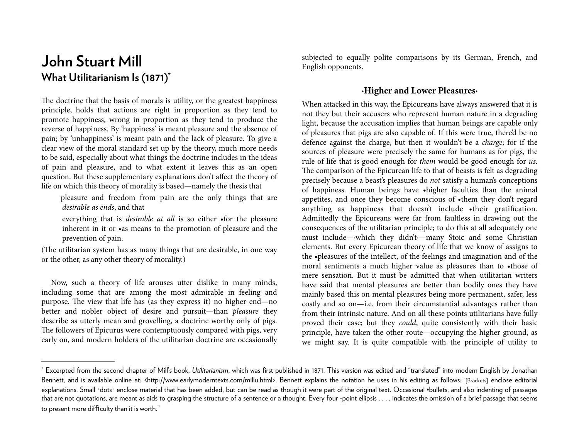## **John Stuart Mill What Utilitarianism Is (1871[\)\\*](#page-0-0)**

The doctrine that the basis of morals is utility, or the greatest happiness principle, holds that actions are right in proportion as they tend to promote happiness, wrong in proportion as they tend to produce the reverse of happiness. By 'happiness' is meant pleasure and the absence of pain; by 'unhappiness' is meant pain and the lack of pleasure. To give a clear view of the moral standard set up by the theory, much more needs to be said, especially about what things the doctrine includes in the ideas of pain and pleasure, and to what extent it leaves this as an open question. But these supplementary explanations don't affect the theory of life on which this theory of morality is based—namely the thesis that

pleasure and freedom from pain are the only things that are *desirable as ends*, and that

everything that is *desirable at all* is so either •for the pleasure inherent in it or •as means to the promotion of pleasure and the prevention of pain.

(The utilitarian system has as many things that are desirable, in one way or the other, as any other theory of morality.)

Now, such a theory of life arouses utter dislike in many minds, including some that are among the most admirable in feeling and purpose. The view that life has (as they express it) no higher end—no better and nobler object of desire and pursuit—than *pleasure* they describe as utterly mean and grovelling, a doctrine worthy only of pigs. The followers of Epicurus were contemptuously compared with pigs, very early on, and modern holders of the utilitarian doctrine are occasionally subjected to equally polite comparisons by its German, French, and English opponents.

## **·Higher and Lower Pleasures·**

When attacked in this way, the Epicureans have always answered that it is not they but their accusers who represent human nature in a degrading light, because the accusation implies that human beings are capable only of pleasures that pigs are also capable of. If this were true, there'd be no defence against the charge, but then it wouldn't be a *charge*; for if the sources of pleasure were precisely the same for humans as for pigs, the rule of life that is good enough for *them* would be good enough for *us*. The comparison of the Epicurean life to that of beasts is felt as degrading precisely because a beast's pleasures do *not* satisfy a human's conceptions of happiness. Human beings have •higher faculties than the animal appetites, and once they become conscious of •them they don't regard anything as happiness that doesn't include •their gratification. Admittedly the Epicureans were far from faultless in drawing out the consequences of the utilitarian principle; to do this at all adequately one must include—·which they didn't·—many Stoic and some Christian elements. But every Epicurean theory of life that we know of assigns to the •pleasures of the intellect, of the feelings and imagination and of the moral sentiments a much higher value as pleasures than to •those of mere sensation. But it must be admitted that when utilitarian writers have said that mental pleasures are better than bodily ones they have mainly based this on mental pleasures being more permanent, safer, less costly and so on—i.e. from their circumstantial advantages rather than from their intrinsic nature. And on all these points utilitarians have fully proved their case; but they *could*, quite consistently with their basic principle, have taken the other route—occupying the higher ground, as we might say. It is quite compatible with the principle of utility to

<span id="page-0-0"></span><sup>\*</sup> Excerpted from the second chapter of Mill's book, *Utilitarianism*, which was first published in 1871. This version was edited and "translated" into modern English by Jonathan Bennett, and is available online at: <http://www.earlymoderntexts.com/millu.html>. Bennett explains the notation he uses in his editing as follows: "[Brackets] enclose editorial explanations. Small ·dots· enclose material that has been added, but can be read as though it were part of the original text. Occasional •bullets, and also indenting of passages that are not quotations, are meant as aids to grasping the structure of a sentence or a thought. Every four -point ellipsis . . . . indicates the omission of a brief passage that seems to present more difficulty than it is worth."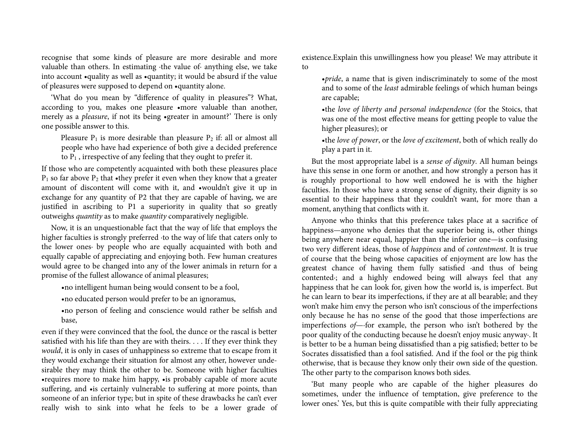recognise that some kinds of pleasure are more desirable and more valuable than others. In estimating ·the value of· anything else, we take into account •quality as well as •quantity; it would be absurd if the value of pleasures were supposed to depend on •quantity alone.

'What do you mean by "difference of quality in pleasures"? What, according to you, makes one pleasure •more valuable than another, merely as a *pleasure*, if not its being •greater in amount?' There is only one possible answer to this.

Pleasure  $P_1$  is more desirable than pleasure  $P_2$  if: all or almost all people who have had experience of both give a decided preference to  $P_1$ , irrespective of any feeling that they ought to prefer it.

If those who are competently acquainted with both these pleasures place  $P_1$  so far above  $P_2$  that •they prefer it even when they know that a greater amount of discontent will come with it, and •wouldn't give it up in exchange for any quantity of P2 that they are capable of having, we are justified in ascribing to P1 a superiority in quality that so greatly outweighs *quantity* as to make *quantity* comparatively negligible.

Now, it is an unquestionable fact that the way of life that employs the higher faculties is strongly preferred ·to the way of life that caters only to the lower ones· by people who are equally acquainted with both and equally capable of appreciating and enjoying both. Few human creatures would agree to be changed into any of the lower animals in return for a promise of the fullest allowance of animal pleasures;

•no intelligent human being would consent to be a fool,

•no educated person would prefer to be an ignoramus,

•no person of feeling and conscience would rather be selfish and base,

even if they were convinced that the fool, the dunce or the rascal is better satisfied with his life than they are with theirs. . . . If they ever think they *would*, it is only in cases of unhappiness so extreme that to escape from it they would exchange their situation for almost any other, however undesirable they may think the other to be. Someone with higher faculties •requires more to make him happy, •is probably capable of more acute suffering, and •is certainly vulnerable to suffering at more points, than someone of an inferior type; but in spite of these drawbacks he can't ever really wish to sink into what he feels to be a lower grade of existence.Explain this unwillingness how you please! We may attribute it to

•*pride*, a name that is given indiscriminately to some of the most and to some of the *least* admirable feelings of which human beings are capable;

•the *love of liberty and personal independence* (for the Stoics, that was one of the most effective means for getting people to value the higher pleasures); or

•the *love of power*, or the *love of excitement*, both of which really do play a part in it.

But the most appropriate label is a *sense of dignity*. All human beings have this sense in one form or another, and how strongly a person has it is roughly proportional to how well endowed he is with the higher faculties. In those who have a strong sense of dignity, their dignity is so essential to their happiness that they couldn't want, for more than a moment, anything that conflicts with it.

Anyone who thinks that this preference takes place at a sacrifice of happiness—anyone who denies that the superior being is, other things being anywhere near equal, happier than the inferior one—is confusing two very different ideas, those of *happiness* and of *contentment*. It is true of course that the being whose capacities of enjoyment are low has the greatest chance of having them fully satisfied ·and thus of being contented·; and a highly endowed being will always feel that any happiness that he can look for, given how the world is, is imperfect. But he can learn to bear its imperfections, if they are at all bearable; and they won't make him envy the person who isn't conscious of the imperfections only because he has no sense of the good that those imperfections are imperfections *of*—·for example, the person who isn't bothered by the poor quality of the conducting because he doesn't enjoy music anyway·. It is better to be a human being dissatisfied than a pig satisfied; better to be Socrates dissatisfied than a fool satisfied. And if the fool or the pig think otherwise, that is because they know only their own side of the question. The other party to the comparison knows both sides.

'But many people who are capable of the higher pleasures do sometimes, under the influence of temptation, give preference to the lower ones.' Yes, but this is quite compatible with their fully appreciating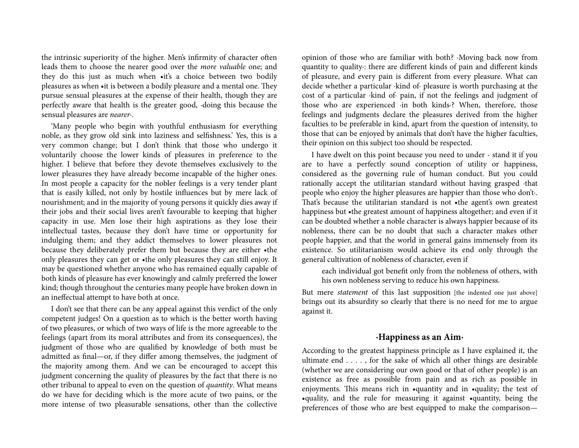the intrinsic superiority of the higher. Men's infirmity of character often leads them to choose the nearer good over the *more valuable* one; and they do this just as much when •it's a choice between two bodily pleasures as when •it is between a bodily pleasure and a mental one. They pursue sensual pleasures at the expense of their health, though they are perfectly aware that health is the greater good, ·doing this because the sensual pleasures are *nearer*·.

'Many people who begin with youthful enthusiasm for everything noble, as they grow old sink into laziness and selfishness.' Yes, this is a very common change; but I don't think that those who undergo it voluntarily choose the lower kinds of pleasures in preference to the higher. I believe that before they devote themselves exclusively to the lower pleasures they have already become incapable of the higher ones. In most people a capacity for the nobler feelings is a very tender plant that is easily killed, not only by hostile influences but by mere lack of nourishment; and in the majority of young persons it quickly dies away if their jobs and their social lives aren't favourable to keeping that higher capacity in use. Men lose their high aspirations as they lose their intellectual tastes, because they don't have time or opportunity for indulging them; and they addict themselves to lower pleasures not because they deliberately prefer them but because they are either •the only pleasures they can get or •the only pleasures they can still enjoy. It may be questioned whether anyone who has remained equally capable of both kinds of pleasure has ever knowingly and calmly preferred the lower kind; though throughout the centuries many people have broken down in an ineffectual attempt to have both at once.

I don't see that there can be any appeal against this verdict of the only competent judges! On a question as to which is the better worth having of two pleasures, or which of two ways of life is the more agreeable to the feelings (apart from its moral attributes and from its consequences), the judgment of those who are qualified by knowledge of both must be admitted as final—or, if they differ among themselves, the judgment of the majority among them. And we can be encouraged to accept this judgment concerning the quality of pleasures by the fact that there is no other tribunal to appeal to even on the question of *quantity*. What means do we have for deciding which is the more acute of two pains, or the more intense of two pleasurable sensations, other than the collective

opinion of those who are familiar with both? ·Moving back now from quantity to quality·: there are different kinds of pain and different kinds of pleasure, and every pain is different from every pleasure. What can decide whether a particular ·kind of· pleasure is worth purchasing at the cost of a particular ·kind of· pain, if not the feelings and judgment of those who are experienced ·in both kinds·? When, therefore, those feelings and judgments declare the pleasures derived from the higher faculties to be preferable in kind, apart from the question of intensity, to those that can be enjoyed by animals that don't have the higher faculties, their opinion on this subject too should be respected.

I have dwelt on this point because you need to under - stand it if you are to have a perfectly sound conception of utility or happiness, considered as the governing rule of human conduct. But you could rationally accept the utilitarian standard without having grasped ·that people who enjoy the higher pleasures are happier than those who don't·. That's because the utilitarian standard is not •the agent's own greatest happiness but •the greatest amount of happiness altogether; and even if it can be doubted whether a noble character is always happier because of its nobleness, there can be no doubt that such a character makes other people happier, and that the world in general gains immensely from its existence. So utilitarianism would achieve its end only through the general cultivation of nobleness of character, even if

each individual got benefit only from the nobleness of others, with his own nobleness serving to reduce his own happiness.

But mere *statement* of this last supposition [the indented one just above] brings out its absurdity so clearly that there is no need for me to argue against it.

## **·Happiness as an Aim·**

According to the greatest happiness principle as I have explained it, the ultimate end . . . . , for the sake of which all other things are desirable (whether we are considering our own good or that of other people) is an existence as free as possible from pain and as rich as possible in enjoyments. This means rich in •quantity and in •quality; the test of •quality, and the rule for measuring it against •quantity, being the preferences of those who are best equipped to make the comparison—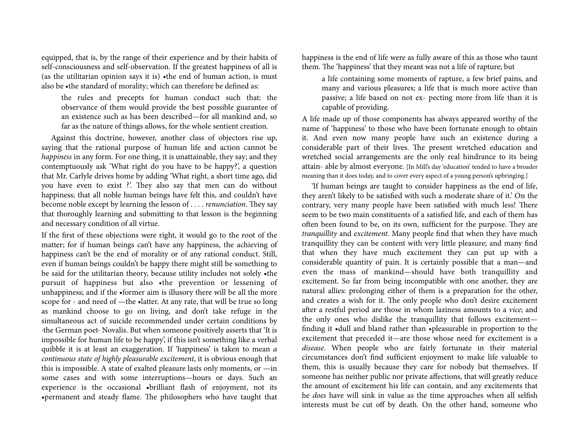equipped, that is, by the range of their experience and by their habits of self-consciousness and self-observation. If the greatest happiness of all is (as the utilitarian opinion says it is) •the end of human action, is must also be •the standard of morality; which can therefore be defined as:

the rules and precepts for human conduct such that: the observance of them would provide the best possible guarantee of an existence such as has been described—for all mankind and, so far as the nature of things allows, for the whole sentient creation.

Against this doctrine, however, another class of objectors rise up, saying that the rational purpose of human life and action cannot be *happiness* in any form. For one thing, it is unattainable, they say; and they contemptuously ask 'What right do you have to be happy?', a question that Mr. Carlyle drives home by adding 'What right, a short time ago, did you have even to exist ?? They also say that men can do without happiness; that all noble human beings have felt this, and couldn't have become noble except by learning the lesson of . . . *. renunciation*. They say that thoroughly learning and submitting to that lesson is the beginning and necessary condition of all virtue.

If the first of these objections were right, it would go to the root of the matter; for if human beings can't have any happiness, the achieving of happiness can't be the end of morality or of any rational conduct. Still, even if human beings couldn't be happy there might still be something to be said for the utilitarian theory, because utility includes not solely •the pursuit of happiness but also •the prevention or lessening of unhappiness; and if the •former aim is illusory there will be all the more scope for - and need of —the •latter. At any rate, that will be true so long as mankind choose to go on living, and don't take refuge in the simultaneous act of suicide recommended under certain conditions by ·the German poet· Novalis. But when someone positively asserts that 'It is impossible for human life to be happy', if this isn't something like a verbal quibble it is at least an exaggeration. If 'happiness' is taken to mean *a continuous state of highly pleasurable excitement*, it is obvious enough that this is impossible. A state of exalted pleasure lasts only moments, or —in some cases and with some interruptions—hours or days. Such an experience is the occasional •brilliant flash of enjoyment, not its •permanent and steady flame. The philosophers who have taught that

happiness is the end of life were as fully aware of this as those who taunt them. The 'happiness' that they meant was not a life of rapture; but

a life containing some moments of rapture, a few brief pains, and many and various pleasures; a life that is much more active than passive; a life based on not ex- pecting more from life than it is capable of providing.

A life made up of those components has always appeared worthy of the name of 'happiness' to those who have been fortunate enough to obtain it. And even now many people have such an existence during a considerable part of their lives. The present wretched education and wretched social arrangements are the only real hindrance to its being attain- able by almost everyone. [In Mill's day 'education' tended to have a broader meaning than it does today, and to cover every aspect of a young person's upbringing.]

'If human beings are taught to consider happiness as the end of life, they aren't likely to be satisfied with such a moderate share of it.' On the contrary, very many people have been satisfied with much less! There seem to be two main constituents of a satisfied life, and each of them has often been found to be, on its own, sufficient for the purpose. They are *tranquillity* and *excitement*. Many people find that when they have much tranquillity they can be content with very little pleasure; and many find that when they have much excitement they can put up with a considerable quantity of pain. It is certainly possible that a man—and even the mass of mankind—should have both tranquillity and excitement. So far from being incompatible with one another, they are natural allies: prolonging either of them is a preparation for the other, and creates a wish for it. The only people who don't desire excitement after a restful period are those in whom laziness amounts to a *vice*; and the only ones who dislike the tranquillity that follows excitement finding it •dull and bland rather than •pleasurable in proportion to the excitement that preceded it—are those whose need for excitement is a *disease*. When people who are fairly fortunate in their material circumstances don't find sufficient enjoyment to make life valuable to them, this is usually because they care for nobody but themselves. If someone has neither public nor private affections, that will greatly reduce the amount of excitement his life can contain, and any excitements that he *does* have will sink in value as the time approaches when all selfish interests must be cut off by death. On the other hand, someone who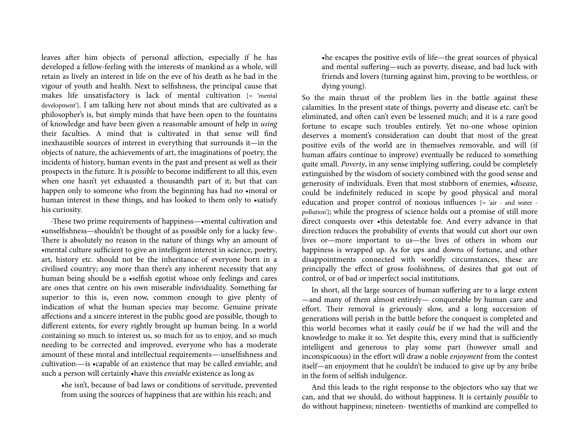leaves after him objects of personal affection, especially if he has developed a fellow-feeling with the interests of mankind as a whole, will retain as lively an interest in life on the eve of his death as he had in the vigour of youth and health. Next to selfishness, the principal cause that makes life unsatisfactory is lack of mental cultivation [= 'mental development']. I am talking here not about minds that are cultivated as a philosopher's is, but simply minds that have been open to the fountains of knowledge and have been given a reasonable amount of help in *using* their faculties. A mind that is cultivated in that sense will find inexhaustible sources of interest in everything that surrounds it—in the objects of nature, the achievements of art, the imaginations of poetry, the incidents of history, human events in the past and present as well as their prospects in the future. It is *possible* to become indifferent to all this, even when one hasn't yet exhausted a thousandth part of it; but that can happen only to someone who from the beginning has had no •moral or human interest in these things, and has looked to them only to •satisfy his curiosity.

·These two prime requirements of happiness—•mental cultivation and •unselfishness—shouldn't be thought of as possible only for a lucky few·. There is absolutely no reason in the nature of things why an amount of •mental culture sufficient to give an intelligent interest in science, poetry, art, history etc. should not be the inheritance of everyone born in a civilised country; any more than there's any inherent necessity that any human being should be a •selfish egotist whose only feelings and cares are ones that centre on his own miserable individuality. Something far superior to this is, even now, common enough to give plenty of indication of what the human species may become. Genuine private affections and a sincere interest in the public good are possible, though to different extents, for every rightly brought up human being. In a world containing so much to interest us, so much for us to enjoy, and so much needing to be corrected and improved, everyone who has a moderate amount of these moral and intellectual requirements—·unselfishness and cultivation·—is •capable of an existence that may be called enviable; and such a person will certainly •have this *enviable* existence as long as

•he isn't, because of bad laws or conditions of servitude, prevented from using the sources of happiness that are within his reach; and

•he escapes the positive evils of life—the great sources of physical and mental suffering—such as poverty, disease, and bad luck with friends and lovers (turning against him, proving to be worthless, or dying young).

So the main thrust of the problem lies in the battle against these calamities. In the present state of things, poverty and disease etc. can't be eliminated, and often can't even be lessened much; and it is a rare good fortune to escape such troubles entirely. Yet no-one whose opinion deserves a moment's consideration can doubt that most of the great positive evils of the world are in themselves removable, and will (if human affairs continue to improve) eventually be reduced to something quite small. *Poverty*, in any sense implying suffering, could be completely extinguished by the wisdom of society combined with the good sense and generosity of individuals. Even that most stubborn of enemies, •*disease*, could be indefinitely reduced in scope by good physical and moral education and proper control of noxious influences [= 'air - and water pollution']; while the progress of science holds out a promise of still more direct conquests over •this detestable foe. And every advance in that direction reduces the probability of events that would cut short our own lives or—more important to us—the lives of others in whom our happiness is wrapped up. As for ups and downs of fortune, and other disappointments connected with worldly circumstances, these are principally the effect of gross foolishness, of desires that got out of control, or of bad or imperfect social institutions.

In short, all the large sources of human suffering are to a large extent —and many of them almost entirely— conquerable by human care and effort. Their removal is grievously slow, and a long succession of generations will perish in the battle before the conquest is completed and this world becomes what it easily *could* be if we had the will and the knowledge to make it so. Yet despite this, every mind that is sufficiently intelligent and generous to play some part (however small and inconspicuous) in the effort will draw a noble *enjoyment* from the contest itself—an enjoyment that he couldn't be induced to give up by any bribe in the form of selfish indulgence.

And this leads to the right response to the objectors who say that we can, and that we should, do without happiness. It is certainly *possible* to do without happiness; nineteen- twentieths of mankind are compelled to